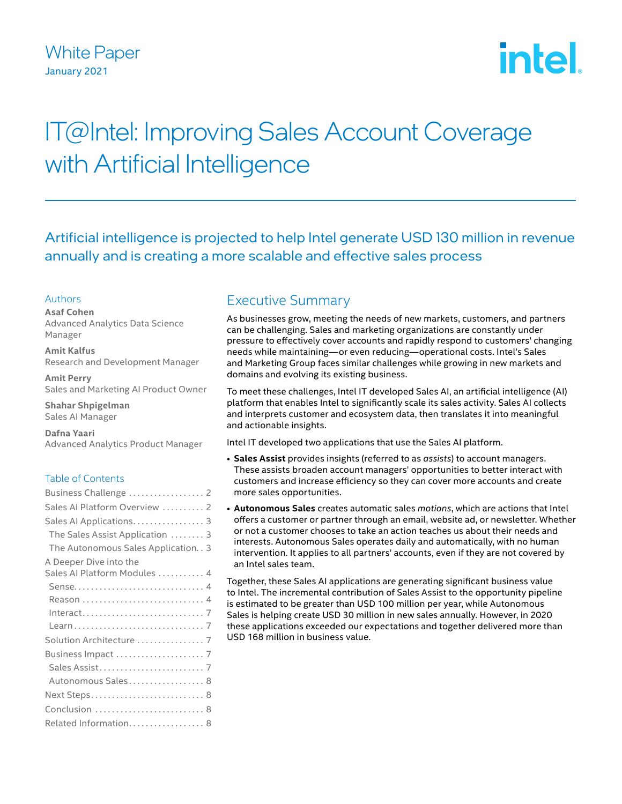## White Paper January 2021

# intel

## IT@Intel: Improving Sales Account Coverage with Artificial Intelligence

Artificial intelligence is projected to help Intel generate USD 130 million in revenue annually and is creating a more scalable and effective sales process

#### Authors

**Asaf Cohen** Advanced Analytics Data Science Manager

**Amit Kalfus** Research and Development Manager

**Amit Perry** Sales and Marketing AI Product Owner

**Shahar Shpigelman** Sales AI Manager

**Dafna Yaari** Advanced Analytics Product Manager

#### Table of Contents

| Business Challenge  2                 |
|---------------------------------------|
| Sales AI Platform Overview  2         |
| Sales Al Applications 3               |
| The Sales Assist Application  3       |
| The Autonomous Sales Application. . 3 |
| A Deeper Dive into the                |
| Sales AI Platform Modules  4          |
| Sense 4                               |
|                                       |
|                                       |
|                                       |
| Solution Architecture  7              |
|                                       |
|                                       |
| Autonomous Sales 8                    |
| Next Steps 8                          |
| Conclusion  8                         |
| Related Information 8                 |

## Executive Summary

As businesses grow, meeting the needs of new markets, customers, and partners can be challenging. Sales and marketing organizations are constantly under pressure to effectively cover accounts and rapidly respond to customers' changing needs while maintaining—or even reducing—operational costs. Intel's Sales and Marketing Group faces similar challenges while growing in new markets and domains and evolving its existing business.

To meet these challenges, Intel IT developed Sales AI, an artificial intelligence (AI) platform that enables Intel to significantly scale its sales activity. Sales AI collects and interprets customer and ecosystem data, then translates it into meaningful and actionable insights.

Intel IT developed two applications that use the Sales AI platform.

- **Sales Assist** provides insights (referred to as *assists*) to account managers. These assists broaden account managers' opportunities to better interact with customers and increase efficiency so they can cover more accounts and create more sales opportunities.
- **Autonomous Sales** creates automatic sales *motions*, which are actions that Intel offers a customer or partner through an email, website ad, or newsletter. Whether or not a customer chooses to take an action teaches us about their needs and interests. Autonomous Sales operates daily and automatically, with no human intervention. It applies to all partners' accounts, even if they are not covered by an Intel sales team.

Together, these Sales AI applications are generating significant business value to Intel. The incremental contribution of Sales Assist to the opportunity pipeline is estimated to be greater than USD 100 million per year, while Autonomous Sales is helping create USD 30 million in new sales annually. However, in 2020 these applications exceeded our expectations and together delivered more than USD 168 million in business value.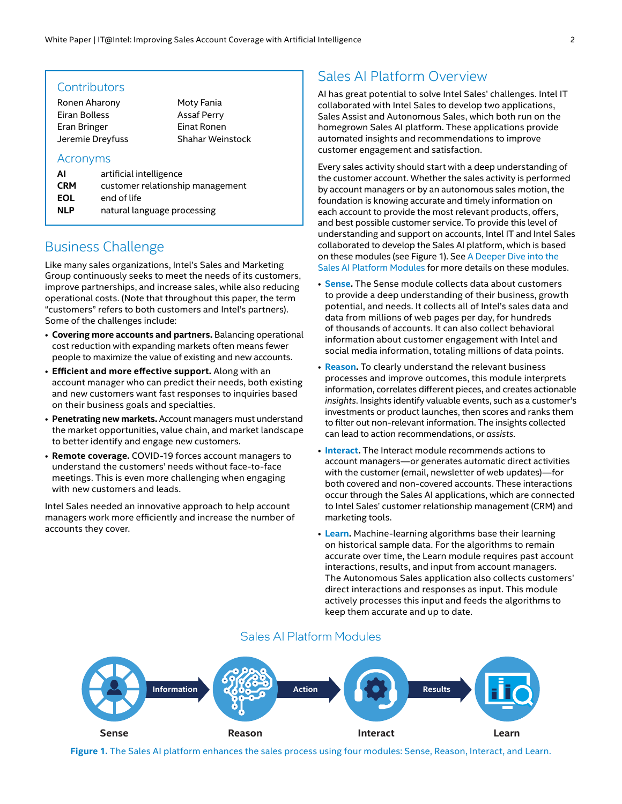#### <span id="page-1-0"></span>**Contributors**

Ronen Aharony Eiran Bolless Eran Bringer Jeremie Dreyfuss Moty Fania Assaf Perry Einat Ronen Shahar Weinstock

#### Acronyms

| AI         | artificial intelligence          |  |  |
|------------|----------------------------------|--|--|
| <b>CRM</b> | customer relationship management |  |  |
| EOL        | end of life                      |  |  |
| <b>NLP</b> | natural language processing      |  |  |
|            |                                  |  |  |

## Business Challenge

Like many sales organizations, Intel's Sales and Marketing Group continuously seeks to meet the needs of its customers, improve partnerships, and increase sales, while also reducing operational costs. (Note that throughout this paper, the term "customers" refers to both customers and Intel's partners). Some of the challenges include:

- **Covering more accounts and partners.** Balancing operational cost reduction with expanding markets often means fewer people to maximize the value of existing and new accounts.
- **Efficient and more effective support.** Along with an account manager who can predict their needs, both existing and new customers want fast responses to inquiries based on their business goals and specialties.
- **Penetrating new markets.** Account managers must understand the market opportunities, value chain, and market landscape to better identify and engage new customers.
- **Remote coverage.** COVID-19 forces account managers to understand the customers' needs without face-to-face meetings. This is even more challenging when engaging with new customers and leads.

Intel Sales needed an innovative approach to help account managers work more efficiently and increase the number of accounts they cover.

## Sales AI Platform Overview

AI has great potential to solve Intel Sales' challenges. Intel IT collaborated with Intel Sales to develop two applications, Sales Assist and Autonomous Sales, which both run on the homegrown Sales AI platform. These applications provide automated insights and recommendations to improve customer engagement and satisfaction.

Every sales activity should start with a deep understanding of the customer account. Whether the sales activity is performed by account managers or by an autonomous sales motion, the foundation is knowing accurate and timely information on each account to provide the most relevant products, offers, and best possible customer service. To provide this level of understanding and support on accounts, Intel IT and Intel Sales collaborated to develop the Sales AI platform, which is based on these modules (see Figure 1). See [A Deeper Dive into the](#page-3-1)  Sales AI [Platform](#page-3-1) Modules for more details on these modules.

- **[Sense](#page-3-2).** The Sense module collects data about customers to provide a deep understanding of their business, growth potential, and needs. It collects all of Intel's sales data and data from millions of web pages per day, for hundreds of thousands of accounts. It can also collect behavioral information about customer engagement with Intel and social media information, totaling millions of data points.
- **[Reason.](#page-3-3)** To clearly understand the relevant business processes and improve outcomes, this module interprets information, correlates different pieces, and creates actionable *insights*. Insights identify valuable events, such as a customer's investments or product launches, then scores and ranks them to filter out non-relevant information. The insights collected can lead to action recommendations, or *assists*.
- **[Interact.](#page-6-1)** The Interact module recommends actions to account managers—or generates automatic direct activities with the customer (email, newsletter of web updates)—for both covered and non-covered accounts. These interactions occur through the Sales AI applications, which are connected to Intel Sales' customer relationship management (CRM) and marketing tools.
- **[Learn.](#page-6-2)** Machine-learning algorithms base their learning on historical sample data. For the algorithms to remain accurate over time, the Learn module requires past account interactions, results, and input from account managers. The Autonomous Sales application also collects customers' direct interactions and responses as input. This module actively processes this input and feeds the algorithms to keep them accurate and up to date.

#### Sales AI Platform Modules



**Figure 1.** The Sales AI platform enhances the sales process using four modules: Sense, Reason, Interact, and Learn.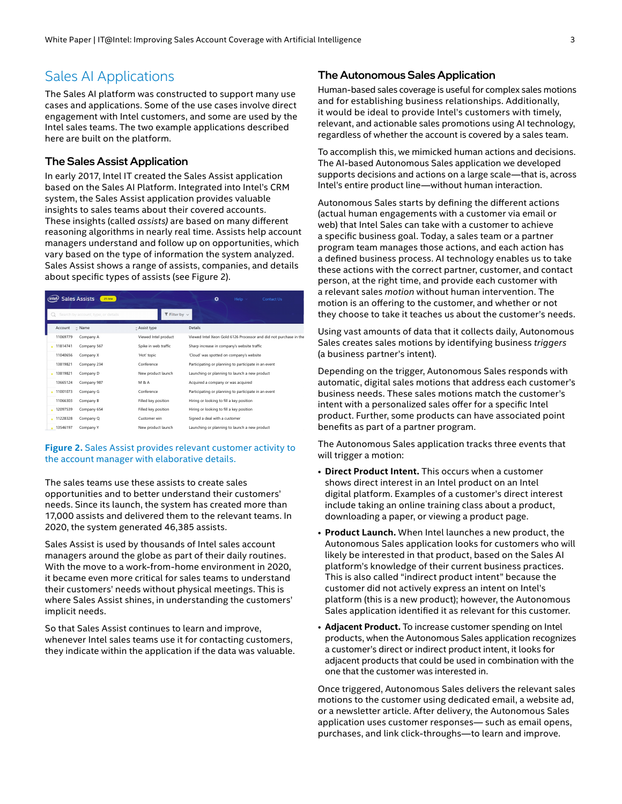## <span id="page-2-0"></span>Sales AI Applications

The Sales AI platform was constructed to support many use cases and applications. Some of the use cases involve direct engagement with Intel customers, and some are used by the Intel sales teams. The two example applications described here are built on the platform.

#### The Sales Assist Application

In early 2017, Intel IT created the Sales Assist application based on the Sales AI Platform. Integrated into Intel's CRM system, the Sales Assist application provides valuable insights to sales teams about their covered accounts. These insights (called *assists)* are based on many different reasoning algorithms in nearly real time. Assists help account managers understand and follow up on opportunities, which vary based on the type of information the system analyzed. Sales Assist shows a range of assists, companies, and details about specific types of assists (see Figure 2).

| <b>Sales Assists</b><br>۰<br>$21$ new<br>Help $\sim$<br>Contact Us<br>(intel) |                                       |                                                                   |  |  |
|-------------------------------------------------------------------------------|---------------------------------------|-------------------------------------------------------------------|--|--|
| Search by account, type, or details                                           | $\blacktriangledown$ Filter by $\vee$ |                                                                   |  |  |
| $2$ Name<br>Account                                                           | Assist type                           | Details                                                           |  |  |
| 11069779<br>Company A                                                         | Viewed Intel product                  | Viewed Intel Xeon Gold 6126 Processor and did not purchase in the |  |  |
| • 11814741<br>Company 567                                                     | Spike in web traffic                  | Sharp increase in company's website traffic                       |  |  |
| 11040656<br>Company X                                                         | 'Hot' topic                           | 'Cloud' was spotted on company's website                          |  |  |
| 13819821<br>Company 234                                                       | Conference                            | Participating or planning to participate in an event              |  |  |
| 13819821<br>Company D                                                         | New product launch                    | Launching or planning to launch a new product                     |  |  |
| 13665124<br>Company 987                                                       | <b>M &amp; A</b>                      | Acquired a company or was acquired                                |  |  |
| 11001073<br>Company G                                                         | Conference                            | Participating or planning to participate in an event              |  |  |
| 11066303<br>Company B                                                         | Filled key position                   | Hiring or looking to fill a key position                          |  |  |
| 12097539<br>Company 654                                                       | Filled key position                   | Hiring or looking to fill a key position                          |  |  |
| 11228328<br>Company Q                                                         | Customer win                          | Signed a deal with a customer                                     |  |  |
| 13546197<br>Company Y                                                         | New product launch                    | Launching or planning to launch a new product                     |  |  |

**Figure 2.** Sales Assist provides relevant customer activity to the account manager with elaborative details.

The sales teams use these assists to create sales opportunities and to better understand their customers' needs. Since its launch, the system has created more than 17,000 assists and delivered them to the relevant teams. In 2020, the system generated 46,385 assists.

Sales Assist is used by thousands of Intel sales account managers around the globe as part of their daily routines. With the move to a work-from-home environment in 2020, it became even more critical for sales teams to understand their customers' needs without physical meetings. This is where Sales Assist shines, in understanding the customers' implicit needs.

So that Sales Assist continues to learn and improve, whenever Intel sales teams use it for contacting customers, they indicate within the application if the data was valuable.

#### The Autonomous Sales Application

Human-based sales coverage is useful for complex sales motions and for establishing business relationships. Additionally, it would be ideal to provide Intel's customers with timely, relevant, and actionable sales promotions using AI technology, regardless of whether the account is covered by a sales team.

To accomplish this, we mimicked human actions and decisions. The AI-based Autonomous Sales application we developed supports decisions and actions on a large scale—that is, across Intel's entire product line—without human interaction.

motion is an offering to the customer, and whether or not Autonomous Sales starts by defining the different actions (actual human engagements with a customer via email or web) that Intel Sales can take with a customer to achieve a specific business goal. Today, a sales team or a partner program team manages those actions, and each action has a defined business process. AI technology enables us to take these actions with the correct partner, customer, and contact person, at the right time, and provide each customer with a relevant sales *motion* without human intervention. The they choose to take it teaches us about the customer's needs.

Using vast amounts of data that it collects daily, Autonomous Sales creates sales motions by identifying business *triggers* (a business partner's intent).

Depending on the trigger, Autonomous Sales responds with automatic, digital sales motions that address each customer's business needs. These sales motions match the customer's intent with a personalized sales offer for a specific Intel product. Further, some products can have associated point benefits as part of a partner program.

The Autonomous Sales application tracks three events that will trigger a motion:

- **Direct Product Intent.** This occurs when a customer shows direct interest in an Intel product on an Intel digital platform. Examples of a customer's direct interest include taking an online training class about a product, downloading a paper, or viewing a product page.
- **Product Launch.** When Intel launches a new product, the Autonomous Sales application looks for customers who will likely be interested in that product, based on the Sales AI platform's knowledge of their current business practices. This is also called "indirect product intent" because the customer did not actively express an intent on Intel's platform (this is a new product); however, the Autonomous Sales application identified it as relevant for this customer.
- **Adjacent Product.** To increase customer spending on Intel products, when the Autonomous Sales application recognizes a customer's direct or indirect product intent, it looks for adjacent products that could be used in combination with the one that the customer was interested in.

Once triggered, Autonomous Sales delivers the relevant sales motions to the customer using dedicated email, a website ad, or a newsletter article. After delivery, the Autonomous Sales application uses customer responses— such as email opens, purchases, and link click-throughs—to learn and improve.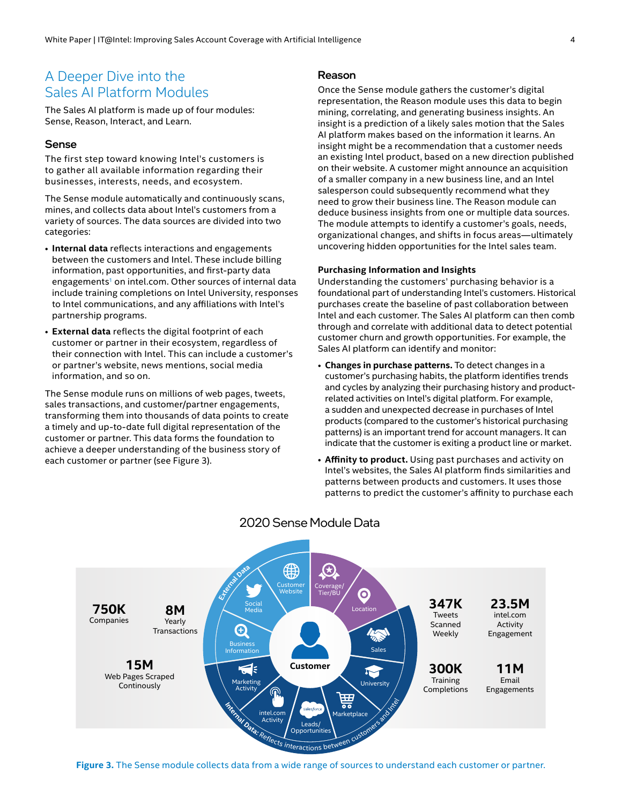## <span id="page-3-1"></span><span id="page-3-0"></span>A Deeper Dive into the Sales AI Platform Modules

The Sales AI platform is made up of four modules: Sense, Reason, Interact, and Learn.

#### <span id="page-3-2"></span>Sense

The first step toward knowing Intel's customers is to gather all available information regarding their businesses, interests, needs, and ecosystem.

The Sense module automatically and continuously scans, mines, and collects data about Intel's customers from a variety of sources. The data sources are divided into two categories:

- **Internal data** reflects interactions and engagements between the customers and Intel. These include billing information, past opportunities, and first-party data engagements<sup>1</sup> on intel.com. Other sources of internal data include training completions on Intel University, responses to Intel communications, and any affiliations with Intel's partnership programs.
- **External data** reflects the digital footprint of each customer or partner in their ecosystem, regardless of their connection with Intel. This can include a customer's or partner's website, news mentions, social media information, and so on.

The Sense module runs on millions of web pages, tweets, sales transactions, and customer/partner engagements, transforming them into thousands of data points to create a timely and up-to-date full digital representation of the customer or partner. This data forms the foundation to achieve a deeper understanding of the business story of each customer or partner (see Figure 3).

#### <span id="page-3-3"></span>Reason

Once the Sense module gathers the customer's digital representation, the Reason module uses this data to begin mining, correlating, and generating business insights. An insight is a prediction of a likely sales motion that the Sales AI platform makes based on the information it learns. An insight might be a recommendation that a customer needs an existing Intel product, based on a new direction published on their website. A customer might announce an acquisition of a smaller company in a new business line, and an Intel salesperson could subsequently recommend what they need to grow their business line. The Reason module can deduce business insights from one or multiple data sources. The module attempts to identify a customer's goals, needs, organizational changes, and shifts in focus areas—ultimately uncovering hidden opportunities for the Intel sales team.

#### **Purchasing Information and Insights**

Understanding the customers' purchasing behavior is a foundational part of understanding Intel's customers. Historical purchases create the baseline of past collaboration between Intel and each customer. The Sales AI platform can then comb through and correlate with additional data to detect potential customer churn and growth opportunities. For example, the Sales AI platform can identify and monitor:

- **Changes in purchase patterns.** To detect changes in a customer's purchasing habits, the platform identifies trends and cycles by analyzing their purchasing history and productrelated activities on Intel's digital platform. For example, a sudden and unexpected decrease in purchases of Intel products (compared to the customer's historical purchasing patterns) is an important trend for account managers. It can indicate that the customer is exiting a product line or market.
- **Affinity to product.** Using past purchases and activity on Intel's websites, the Sales AI platform finds similarities and patterns between products and customers. It uses those patterns to predict the customer's affinity to purchase each



#### 2020 Sense Module Data

**Figure 3.** The Sense module collects data from a wide range of sources to understand each customer or partner.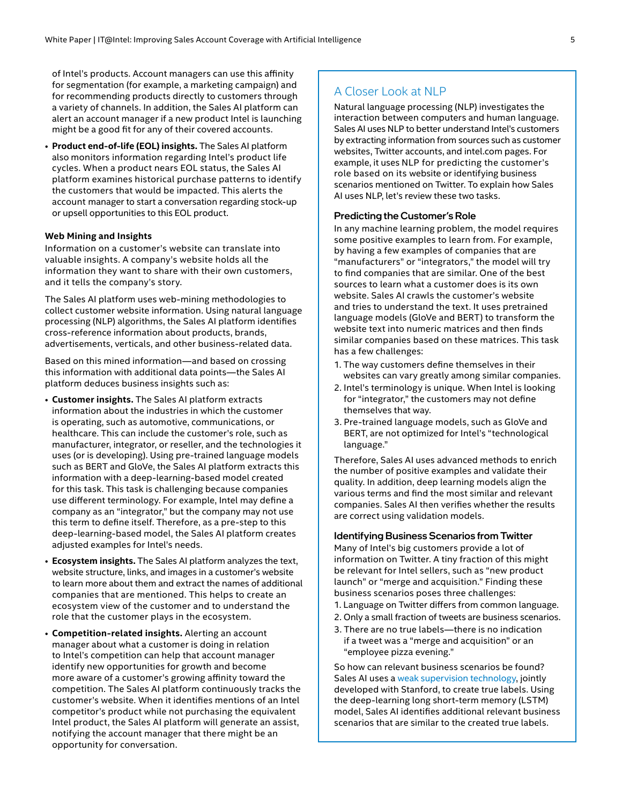of Intel's products. Account managers can use this affinity for segmentation (for example, a marketing campaign) and for recommending products directly to customers through a variety of channels. In addition, the Sales AI platform can alert an account manager if a new product Intel is launching might be a good fit for any of their covered accounts.

• **Product end-of-life (EOL) insights.** The Sales AI platform also monitors information regarding Intel's product life cycles. When a product nears EOL status, the Sales AI platform examines historical purchase patterns to identify the customers that would be impacted. This alerts the account manager to start a conversation regarding stock-up or upsell opportunities to this EOL product.

#### **Web Mining and Insights**

Information on a customer's website can translate into valuable insights. A company's website holds all the information they want to share with their own customers, and it tells the company's story.

The Sales AI platform uses web-mining methodologies to collect customer website information. Using natural language processing (NLP) algorithms, the Sales AI platform identifies cross-reference information about products, brands, advertisements, verticals, and other business-related data.

Based on this mined information—and based on crossing this information with additional data points—the Sales AI platform deduces business insights such as:

- **Customer insights.** The Sales AI platform extracts information about the industries in which the customer is operating, such as automotive, communications, or healthcare. This can include the customer's role, such as manufacturer, integrator, or reseller, and the technologies it uses (or is developing). Using pre-trained language models such as BERT and GloVe, the Sales AI platform extracts this information with a deep-learning-based model created for this task. This task is challenging because companies use different terminology. For example, Intel may define a company as an "integrator," but the company may not use this term to define itself. Therefore, as a pre-step to this deep-learning-based model, the Sales AI platform creates adjusted examples for Intel's needs.
- **Ecosystem insights.** The Sales AI platform analyzes the text, website structure, links, and images in a customer's website to learn more about them and extract the names of additional companies that are mentioned. This helps to create an ecosystem view of the customer and to understand the role that the customer plays in the ecosystem.
- **Competition-related insights.** Alerting an account manager about what a customer is doing in relation to Intel's competition can help that account manager identify new opportunities for growth and become more aware of a customer's growing affinity toward the competition. The Sales AI platform continuously tracks the customer's website. When it identifies mentions of an Intel competitor's product while not purchasing the equivalent Intel product, the Sales AI platform will generate an assist, notifying the account manager that there might be an opportunity for conversation.

#### A Closer Look at NLP

Natural language processing (NLP) investigates the interaction between computers and human language. Sales AI uses NLP to better understand Intel's customers by extracting information from sources such as customer websites, Twitter accounts, and intel.com pages. For example, it uses NLP for predicting the customer's role based on its website or identifying business scenarios mentioned on Twitter. To explain how Sales AI uses NLP, let's review these two tasks.

#### Predicting the Customer's Role

In any machine learning problem, the model requires some positive examples to learn from. For example, by having a few examples of companies that are "manufacturers" or "integrators," the model will try to find companies that are similar. One of the best sources to learn what a customer does is its own website. Sales AI crawls the customer's website and tries to understand the text. It uses pretrained language models (GloVe and BERT) to transform the website text into numeric matrices and then finds similar companies based on these matrices. This task has a few challenges:

- 1. The way customers define themselves in their websites can vary greatly among similar companies.
- 2. Intel's terminology is unique. When Intel is looking for "integrator," the customers may not define themselves that way.
- 3. Pre-trained language models, such as GloVe and BERT, are not optimized for Intel's "technological language."

Therefore, Sales AI uses advanced methods to enrich the number of positive examples and validate their quality. In addition, deep learning models align the various terms and find the most similar and relevant companies. Sales AI then verifies whether the results are correct using validation models.

#### Identifying Business Scenarios from Twitter

Many of Intel's big customers provide a lot of information on Twitter. A tiny fraction of this might be relevant for Intel sellers, such as "new product launch" or "merge and acquisition." Finding these business scenarios poses three challenges:

- 1. Language on Twitter differs from common language.
- 2. Only a small fraction of tweets are business scenarios.
- 3. There are no true labels—there is no indication if a tweet was a "merge and acquisition" or an "employee pizza evening."

So how can relevant business scenarios be found? Sales AI uses a [weak supervision technology](https://dl.acm.org/doi/abs/10.1145/3329486.3329492), jointly developed with Stanford, to create true labels. Using the deep-learning long short-term memory (LSTM) model, Sales AI identifies additional relevant business scenarios that are similar to the created true labels.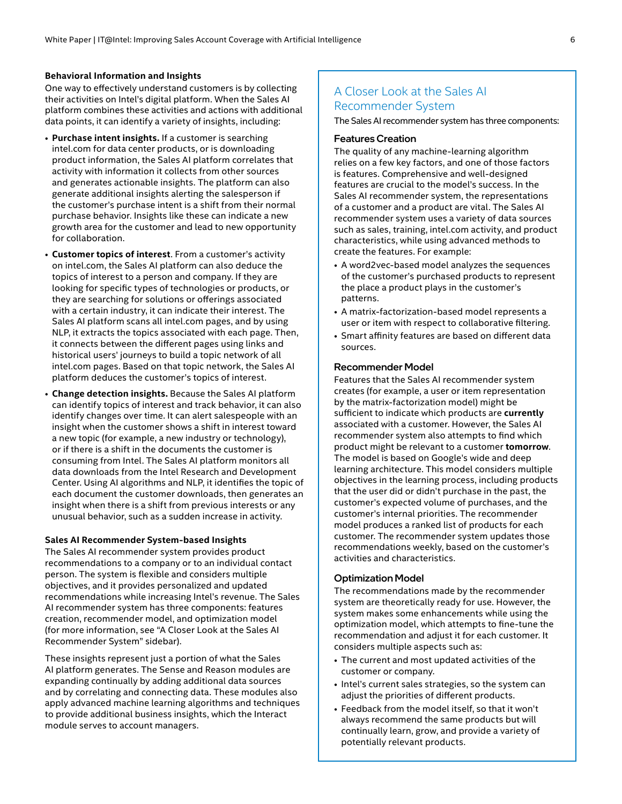#### **Behavioral Information and Insights**

One way to effectively understand customers is by collecting their activities on Intel's digital platform. When the Sales AI platform combines these activities and actions with additional data points, it can identify a variety of insights, including:

- **Purchase intent insights.** If a customer is searching intel.com for data center products, or is downloading product information, the Sales AI platform correlates that activity with information it collects from other sources and generates actionable insights. The platform can also generate additional insights alerting the salesperson if the customer's purchase intent is a shift from their normal purchase behavior. Insights like these can indicate a new growth area for the customer and lead to new opportunity for collaboration.
- **Customer topics of interest**. From a customer's activity on intel.com, the Sales AI platform can also deduce the topics of interest to a person and company. If they are looking for specific types of technologies or products, or they are searching for solutions or offerings associated with a certain industry, it can indicate their interest. The Sales AI platform scans all intel.com pages, and by using NLP, it extracts the topics associated with each page. Then, it connects between the different pages using links and historical users' journeys to build a topic network of all intel.com pages. Based on that topic network, the Sales AI platform deduces the customer's topics of interest.
- **Change detection insights.** Because the Sales AI platform can identify topics of interest and track behavior, it can also identify changes over time. It can alert salespeople with an insight when the customer shows a shift in interest toward a new topic (for example, a new industry or technology), or if there is a shift in the documents the customer is consuming from Intel. The Sales AI platform monitors all data downloads from the Intel Research and Development Center. Using AI algorithms and NLP, it identifies the topic of each document the customer downloads, then generates an insight when there is a shift from previous interests or any unusual behavior, such as a sudden increase in activity.

#### **Sales AI Recommender System-based Insights**

The Sales AI recommender system provides product recommendations to a company or to an individual contact person. The system is flexible and considers multiple objectives, and it provides personalized and updated recommendations while increasing Intel's revenue. The Sales AI recommender system has three components: features creation, recommender model, and optimization model (for more information, see "A Closer Look at the Sales AI Recommender System" sidebar).

These insights represent just a portion of what the Sales AI platform generates. The Sense and Reason modules are expanding continually by adding additional data sources and by correlating and connecting data. These modules also apply advanced machine learning algorithms and techniques to provide additional business insights, which the Interact module serves to account managers.

#### A Closer Look at the Sales AI Recommender System

The Sales AI recommender system has three components:

#### Features Creation

The quality of any machine-learning algorithm relies on a few key factors, and one of those factors is features. Comprehensive and well-designed features are crucial to the model's success. In the Sales AI recommender system, the representations of a customer and a product are vital. The Sales AI recommender system uses a variety of data sources such as sales, training, intel.com activity, and product characteristics, while using advanced methods to create the features. For example:

- A word2vec-based model analyzes the sequences of the customer's purchased products to represent the place a product plays in the customer's patterns.
- A matrix-factorization-based model represents a user or item with respect to collaborative filtering.
- Smart affinity features are based on different data sources.

#### Recommender Model

Features that the Sales AI recommender system creates (for example, a user or item representation by the matrix-factorization model) might be sufficient to indicate which products are **currently** associated with a customer. However, the Sales AI recommender system also attempts to find which product might be relevant to a customer **tomorrow**. The model is based on Google's wide and deep learning architecture. This model considers multiple objectives in the learning process, including products that the user did or didn't purchase in the past, the customer's expected volume of purchases, and the customer's internal priorities. The recommender model produces a ranked list of products for each customer. The recommender system updates those recommendations weekly, based on the customer's activities and characteristics.

#### Optimization Model

The recommendations made by the recommender system are theoretically ready for use. However, the system makes some enhancements while using the optimization model, which attempts to fine-tune the recommendation and adjust it for each customer. It considers multiple aspects such as:

- The current and most updated activities of the customer or company.
- Intel's current sales strategies, so the system can adjust the priorities of different products.
- Feedback from the model itself, so that it won't always recommend the same products but will continually learn, grow, and provide a variety of potentially relevant products.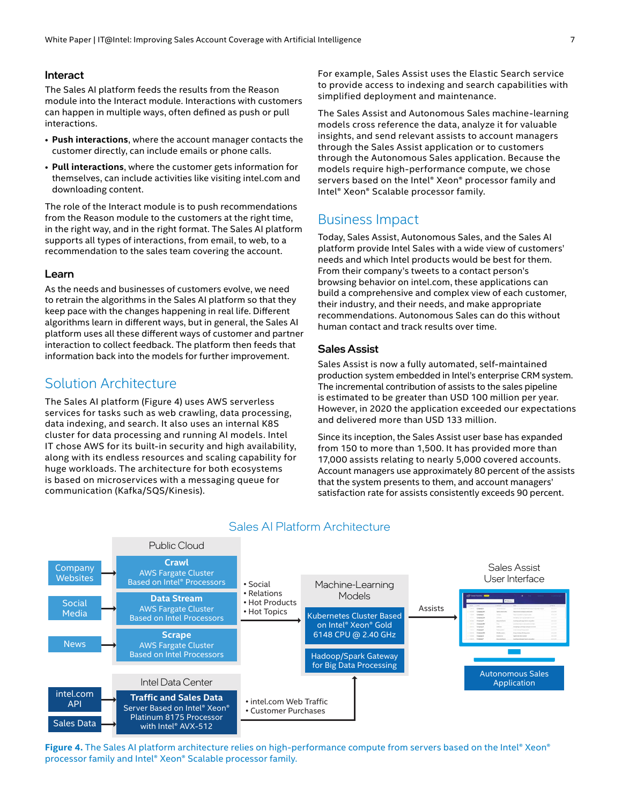#### <span id="page-6-1"></span><span id="page-6-0"></span>Interact

The Sales AI platform feeds the results from the Reason module into the Interact module. Interactions with customers can happen in multiple ways, often defined as push or pull interactions.

- **Push interactions**, where the account manager contacts the customer directly, can include emails or phone calls.
- **Pull interactions**, where the customer gets information for themselves, can include activities like visiting intel.com and downloading content.

The role of the Interact module is to push recommendations from the Reason module to the customers at the right time, in the right way, and in the right format. The Sales AI platform supports all types of interactions, from email, to web, to a recommendation to the sales team covering the account.

#### <span id="page-6-2"></span>Learn

As the needs and businesses of customers evolve, we need to retrain the algorithms in the Sales AI platform so that they keep pace with the changes happening in real life. Different algorithms learn in different ways, but in general, the Sales AI platform uses all these different ways of customer and partner interaction to collect feedback. The platform then feeds that information back into the models for further improvement.

#### Solution Architecture

The Sales AI platform (Figure 4) uses AWS serverless services for tasks such as web crawling, data processing, data indexing, and search. It also uses an internal K8S cluster for data processing and running AI models. Intel IT chose AWS for its built-in security and high availability, along with its endless resources and scaling capability for huge workloads. The architecture for both ecosystems is based on microservices with a messaging queue for communication (Kafka/SQS/Kinesis).

For example, Sales Assist uses the Elastic Search service to provide access to indexing and search capabilities with simplified deployment and maintenance.

The Sales Assist and Autonomous Sales machine-learning models cross reference the data, analyze it for valuable insights, and send relevant assists to account managers through the Sales Assist application or to customers through the Autonomous Sales application. Because the models require high-performance compute, we chose servers based on the Intel® Xeon® processor family and Intel® Xeon® Scalable processor family.

#### Business Impact

Today, Sales Assist, Autonomous Sales, and the Sales AI platform provide Intel Sales with a wide view of customers' needs and which Intel products would be best for them. From their company's tweets to a contact person's browsing behavior on intel.com, these applications can build a comprehensive and complex view of each customer, their industry, and their needs, and make appropriate recommendations. Autonomous Sales can do this without human contact and track results over time.

#### Sales Assist

Sales Assist is now a fully automated, self-maintained production system embedded in Intel's enterprise CRM system. The incremental contribution of assists to the sales pipeline is estimated to be greater than USD 100 million per year. However, in 2020 the application exceeded our expectations and delivered more than USD 133 million.

Since its inception, the Sales Assist user base has expanded from 150 to more than 1,500. It has provided more than 17,000 assists relating to nearly 5,000 covered accounts. Account managers use approximately 80 percent of the assists that the system presents to them, and account managers' satisfaction rate for assists consistently exceeds 90 percent.



#### Sales AI Platform Architecture

Figure 4. The Sales AI platform architecture relies on high-performance compute from servers based on the Intel® Xeon® processor family and Intel® Xeon® Scalable processor family.